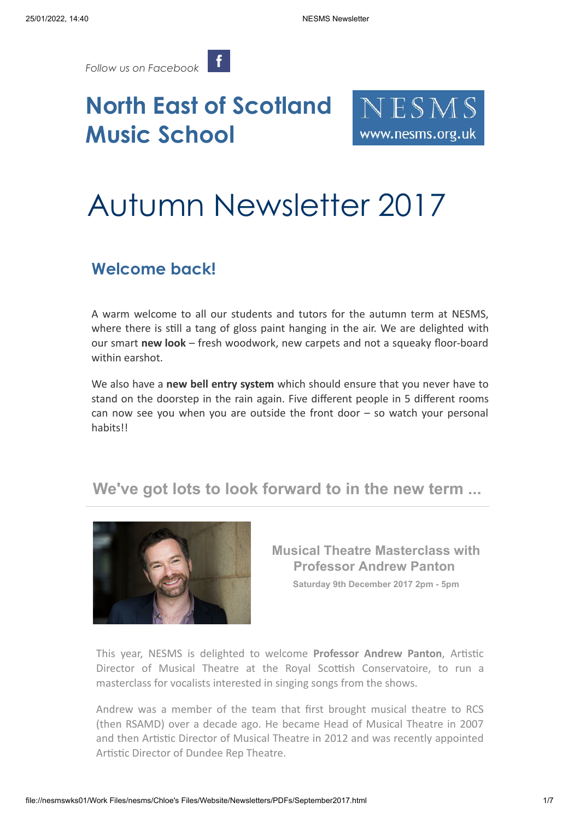*[Follow us on Facebook](https://www.facebook.com/pages/NESMS-North-East-of-Scotland-Music-School/1414232125516831?ref=hl)* 

## **North East of Scotland Music School**



# Autumn Newsletter 2017

## **Welcome back!**

A warm welcome to all our students and tutors for the autumn term at NESMS, where there is still a tang of gloss paint hanging in the air. We are delighted with our smart **new look** – fresh woodwork, new carpets and not a squeaky floor-board within earshot.

We also have a **new bell entry system** which should ensure that you never have to stand on the doorstep in the rain again. Five different people in 5 different rooms can now see you when you are outside the front door  $-$  so watch your personal habits!!

### **We've got lots to look forward to in the new term ...**



**Musical Theatre Masterclass with Professor Andrew Panton Saturday 9th December 2017 2pm - 5pm**

This year, NESMS is delighted to welcome **Professor Andrew Panton**, Artistic Director of Musical Theatre at the Royal Scottish Conservatoire, to run a masterclass for vocalists interested in singing songs from the shows.

Andrew was a member of the team that first brought musical theatre to RCS (then RSAMD) over a decade ago. He became Head of Musical Theatre in 2007 and then Artistic Director of Musical Theatre in 2012 and was recently appointed Artistic Director of Dundee Rep Theatre.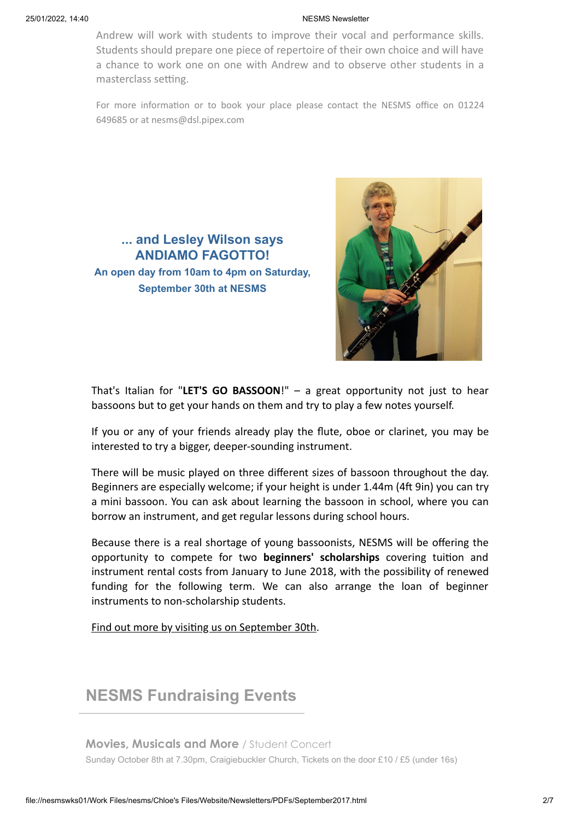#### 25/01/2022, 14:40 NESMS Newsletter

Andrew will work with students to improve their vocal and performance skills. Students should prepare one piece of repertoire of their own choice and will have a chance to work one on one with Andrew and to observe other students in a masterclass setting.

For more information or to book your place please contact the NESMS office on 01224 649685 or at nesms@dsl.pipex.com





That's Italian for "**LET'S GO BASSOON**!" – a great opportunity not just to hear bassoons but to get your hands on them and try to play a few notes yourself.

If you or any of your friends already play the flute, oboe or clarinet, you may be interested to try a bigger, deeper-sounding instrument.

There will be music played on three different sizes of bassoon throughout the day. Beginners are especially welcome; if your height is under 1.44m (4ft 9in) you can try a mini bassoon. You can ask about learning the bassoon in school, where you can borrow an instrument, and get regular lessons during school hours.

Because there is a real shortage of young bassoonists, NESMS will be offering the opportunity to compete for two **beginners' scholarships** covering tuition and instrument rental costs from January to June 2018, with the possibility of renewed funding for the following term. We can also arrange the loan of beginner instruments to non-scholarship students.

Find out more by visiting us on September 30th.

### **NESMS Fundraising Events**

**Movies, Musicals and More** / Student Concert Sunday October 8th at 7.30pm, Craigiebuckler Church, Tickets on the door £10 / £5 (under 16s)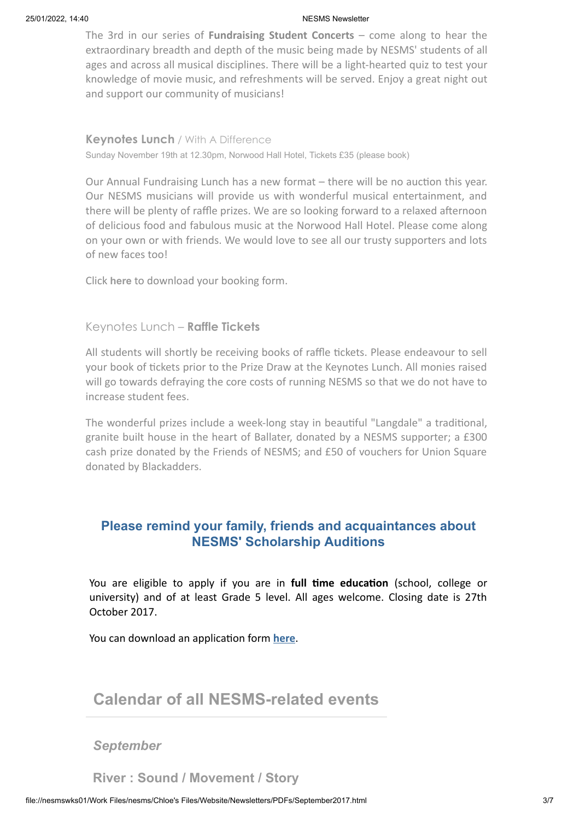#### 25/01/2022, 14:40 NESMS Newsletter

The 3rd in our series of **Fundraising Student Concerts** – come along to hear the extraordinary breadth and depth of the music being made by NESMS' students of all ages and across all musical disciplines. There will be a light-hearted quiz to test your knowledge of movie music, and refreshments will be served. Enjoy a great night out and support our community of musicians!

**Keynotes Lunch** / With A Difference Sunday November 19th at 12.30pm, Norwood Hall Hotel, Tickets £35 (please book)

Our Annual Fundraising Lunch has a new format – there will be no auction this year. Our NESMS musicians will provide us with wonderful musical entertainment, and there will be plenty of raffle prizes. We are so looking forward to a relaxed afternoon of delicious food and fabulous music at the Norwood Hall Hotel. Please come along on your own or with friends. We would love to see all our trusty supporters and lots of new faces too!

Click **[here](https://www.nesms.org.uk/news/enquiry1.html)** to download your booking form.

#### Keynotes Lunch – **Raffle Tickets**

All students will shortly be receiving books of raffle tickets. Please endeavour to sell your book of tickets prior to the Prize Draw at the Keynotes Lunch. All monies raised will go towards defraying the core costs of running NESMS so that we do not have to increase student fees.

The wonderful prizes include a week-long stay in beautiful "Langdale" a traditional, granite built house in the heart of Ballater, donated by a NESMS supporter; a £300 cash prize donated by the Friends of NESMS; and £50 of vouchers for Union Square donated by Blackadders.

### **Please remind your family, friends and acquaintances about NESMS' Scholarship Auditions**

You are eligible to apply if you are in **full time education** (school, college or university) and of at least Grade 5 level. All ages welcome. Closing date is 27th October 2017.

You can download an application form **[here](https://www.nesms.org.uk/news/enquiry2.html)**.

### **Calendar of all NESMS-related events**

#### *September*

**River : Sound / Movement / Story**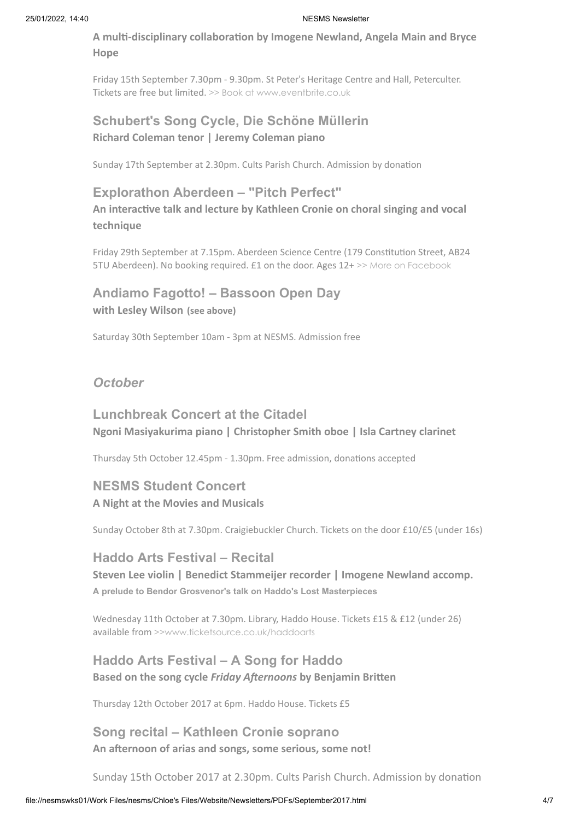**A multi-disciplinary collaboration by Imogene Newland, Angela Main and Bryce Hope**

Friday 15th September 7.30pm - 9.30pm. St Peter's Heritage Centre and Hall, Peterculter. Tickets are free but limited. [>> Book at www.eventbrite.co.uk](https://www.eventbrite.co.uk/e/river-tickets-37416566959?aff=es2)

### **Schubert's Song Cycle, Die Schöne Müllerin Richard Coleman tenor | Jeremy Coleman piano**

Sunday 17th September at 2.30pm. Cults Parish Church. Admission by donation

### **Explorathon Aberdeen – "Pitch Perfect"**

**An interactive talk and lecture by Kathleen Cronie on choral singing and vocal technique**

Friday 29th September at 7.15pm. Aberdeen Science Centre (179 Constitution Street, AB24 5TU Aberdeen). No booking required. £1 on the door. Ages 12+ [>> More on Facebook](https://www.facebook.com/events/158064061414454/)

### **Andiamo Fagotto! – Bassoon Open Day with Lesley Wilson (see above)**

Saturday 30th September 10am - 3pm at NESMS. Admission free

### *October*

### **Lunchbreak Concert at the Citadel Ngoni Masiyakurima piano | Christopher Smith oboe | Isla Cartney clarinet**

Thursday 5th October 12.45pm - 1.30pm. Free admission, donations accepted

### **NESMS Student Concert A Night at the Movies and Musicals**

Sunday October 8th at 7.30pm. Craigiebuckler Church. Tickets on the door £10/£5 (under 16s)

### **Haddo Arts Festival – Recital**

**Steven Lee violin | Benedict Stammeijer recorder | Imogene Newland accomp. A prelude to Bendor Grosvenor's talk on Haddo's Lost Masterpieces**

Wednesday 11th October at 7.30pm. Library, Haddo House. Tickets £15 & £12 (under 26) available from [>>www.ticketsource.co.uk/haddoarts](http://www.ticketsource.co.uk/haddoarts/)

### **Haddo Arts Festival – A Song for Haddo Based on the song cycle** *Friday Afternoons* **by Benjamin Britten**

Thursday 12th October 2017 at 6pm. Haddo House. Tickets £5

### **Song recital – Kathleen Cronie soprano An afternoon of arias and songs, some serious, some not!**

Sunday 15th October 2017 at 2.30pm. Cults Parish Church. Admission by donation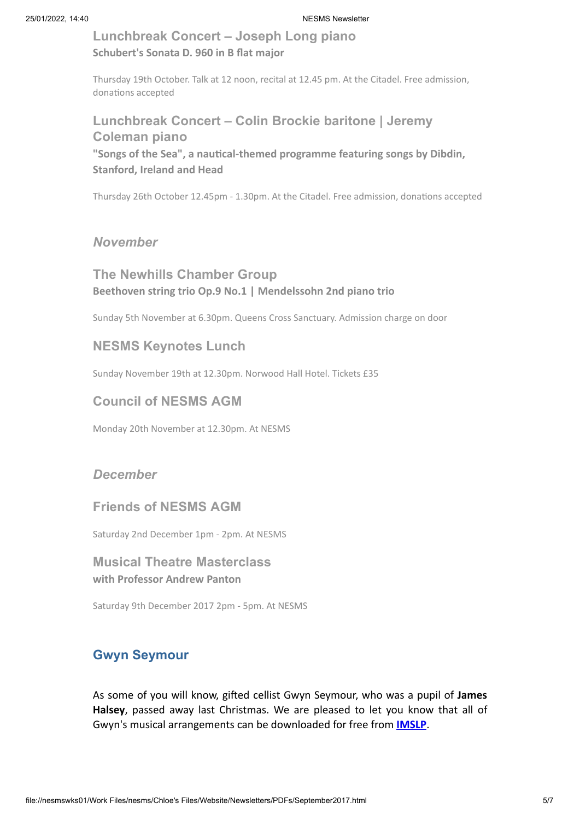### **Lunchbreak Concert – Joseph Long piano Schubert's Sonata D. 960 in B flat major**

Thursday 19th October. Talk at 12 noon, recital at 12.45 pm. At the Citadel. Free admission, donations accepted

### **Lunchbreak Concert – Colin Brockie baritone | Jeremy Coleman piano "Songs of the Sea", a nautical-themed programme featuring songs by Dibdin, Stanford, Ireland and Head**

Thursday 26th October 12.45pm - 1.30pm. At the Citadel. Free admission, donations accepted

### *November*

### **The Newhills Chamber Group Beethoven string trio Op.9 No.1 | Mendelssohn 2nd piano trio**

Sunday 5th November at 6.30pm. Queens Cross Sanctuary. Admission charge on door

### **NESMS Keynotes Lunch**

Sunday November 19th at 12.30pm. Norwood Hall Hotel. Tickets £35

### **Council of NESMS AGM**

Monday 20th November at 12.30pm. At NESMS

### *December*

### **Friends of NESMS AGM**

Saturday 2nd December 1pm - 2pm. At NESMS

### **Musical Theatre Masterclass with Professor Andrew Panton**

Saturday 9th December 2017 2pm - 5pm. At NESMS

### **Gwyn Seymour**

As some of you will know, gifted cellist Gwyn Seymour, who was a pupil of **James Halsey**, passed away last Christmas. We are pleased to let you know that all of Gwyn's musical arrangements can be downloaded for free from **[IMSLP](http://imslp.org/wiki/Category:Seymour,_Gwyn/Arranger)**.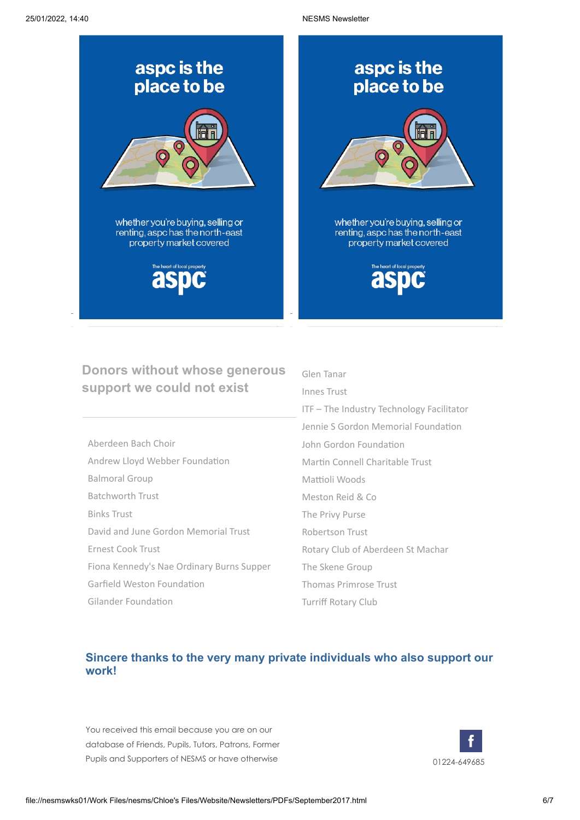

### **Donors without whose generous support we could not exist**

| Aberdeen Bach Choir                       |
|-------------------------------------------|
| Andrew Lloyd Webber Foundation            |
| <b>Balmoral Group</b>                     |
| <b>Batchworth Trust</b>                   |
| <b>Binks Trust</b>                        |
| David and June Gordon Memorial Trust      |
| Ernest Cook Trust                         |
| Fiona Kennedy's Nae Ordinary Burns Supper |
| Garfield Weston Foundation                |
| Gilander Foundation                       |

### Glen Tanar Innes Trust ITF – The Industry Technology Facilitator Jennie S Gordon Memorial Foundation John Gordon Foundation Martin Connell Charitable Trust Mattioli Woods Meston Reid & Co The Privy Purse Robertson Trust Rotary Club of Aberdeen St Machar The Skene Group Thomas Primrose Trust Turriff Rotary Club

### **Sincere thanks to the very many private individuals who also support our work!**

You received this email because you are on our database of Friends, Pupils, Tutors, Patrons, Former Pupils and Supporters of NESMS or have otherwise 01224-649685